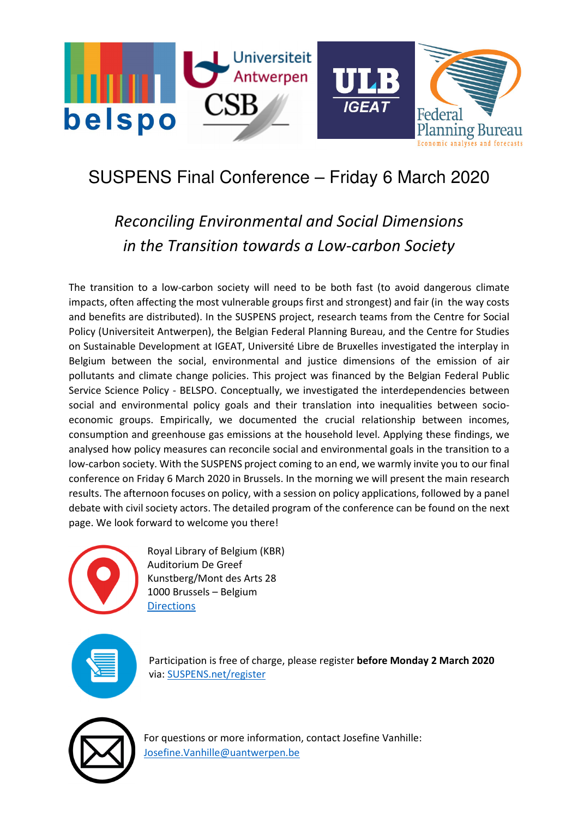

## SUSPENS Final Conference – Friday 6 March 2020

## Reconciling Environmental and Social Dimensions in the Transition towards a Low-carbon Society

The transition to a low-carbon society will need to be both fast (to avoid dangerous climate impacts, often affecting the most vulnerable groups first and strongest) and fair (in the way costs and benefits are distributed). In the SUSPENS project, research teams from the Centre for Social Policy (Universiteit Antwerpen), the Belgian Federal Planning Bureau, and the Centre for Studies on Sustainable Development at IGEAT, Université Libre de Bruxelles investigated the interplay in Belgium between the social, environmental and justice dimensions of the emission of air pollutants and climate change policies. This project was financed by the Belgian Federal Public Service Science Policy - BELSPO. Conceptually, we investigated the interdependencies between social and environmental policy goals and their translation into inequalities between socioeconomic groups. Empirically, we documented the crucial relationship between incomes, consumption and greenhouse gas emissions at the household level. Applying these findings, we analysed how policy measures can reconcile social and environmental goals in the transition to a low-carbon society. With the SUSPENS project coming to an end, we warmly invite you to our final conference on Friday 6 March 2020 in Brussels. In the morning we will present the main research results. The afternoon focuses on policy, with a session on policy applications, followed by a panel debate with civil society actors. The detailed program of the conference can be found on the next page. We look forward to welcome you there!



Royal Library of Belgium (KBR) Auditorium De Greef Kunstberg/Mont des Arts 28 1000 Brussels – Belgium **Directions** 



Participation is free of charge, please register before Monday 2 March 2020 via: SUSPENS.net/register



For questions or more information, contact Josefine Vanhille: Josefine.Vanhille@uantwerpen.be